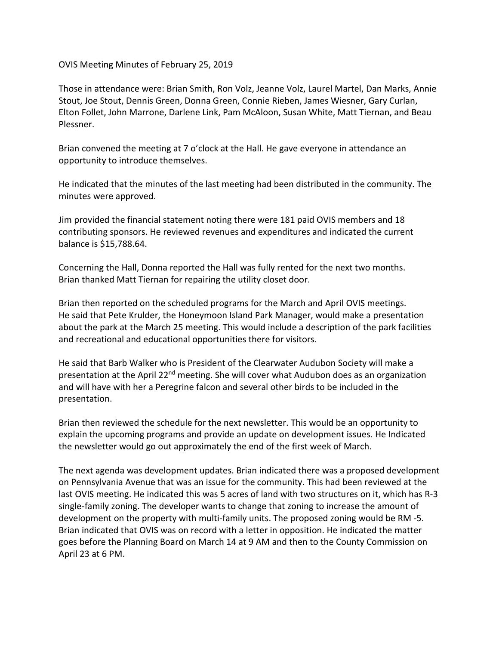OVIS Meeting Minutes of February 25, 2019

Those in attendance were: Brian Smith, Ron Volz, Jeanne Volz, Laurel Martel, Dan Marks, Annie Stout, Joe Stout, Dennis Green, Donna Green, Connie Rieben, James Wiesner, Gary Curlan, Elton Follet, John Marrone, Darlene Link, Pam McAloon, Susan White, Matt Tiernan, and Beau Plessner.

Brian convened the meeting at 7 o'clock at the Hall. He gave everyone in attendance an opportunity to introduce themselves.

He indicated that the minutes of the last meeting had been distributed in the community. The minutes were approved.

Jim provided the financial statement noting there were 181 paid OVIS members and 18 contributing sponsors. He reviewed revenues and expenditures and indicated the current balance is \$15,788.64.

Concerning the Hall, Donna reported the Hall was fully rented for the next two months. Brian thanked Matt Tiernan for repairing the utility closet door.

Brian then reported on the scheduled programs for the March and April OVIS meetings. He said that Pete Krulder, the Honeymoon Island Park Manager, would make a presentation about the park at the March 25 meeting. This would include a description of the park facilities and recreational and educational opportunities there for visitors.

He said that Barb Walker who is President of the Clearwater Audubon Society will make a presentation at the April 22<sup>nd</sup> meeting. She will cover what Audubon does as an organization and will have with her a Peregrine falcon and several other birds to be included in the presentation.

Brian then reviewed the schedule for the next newsletter. This would be an opportunity to explain the upcoming programs and provide an update on development issues. He Indicated the newsletter would go out approximately the end of the first week of March.

The next agenda was development updates. Brian indicated there was a proposed development on Pennsylvania Avenue that was an issue for the community. This had been reviewed at the last OVIS meeting. He indicated this was 5 acres of land with two structures on it, which has R-3 single-family zoning. The developer wants to change that zoning to increase the amount of development on the property with multi-family units. The proposed zoning would be RM -5. Brian indicated that OVIS was on record with a letter in opposition. He indicated the matter goes before the Planning Board on March 14 at 9 AM and then to the County Commission on April 23 at 6 PM.